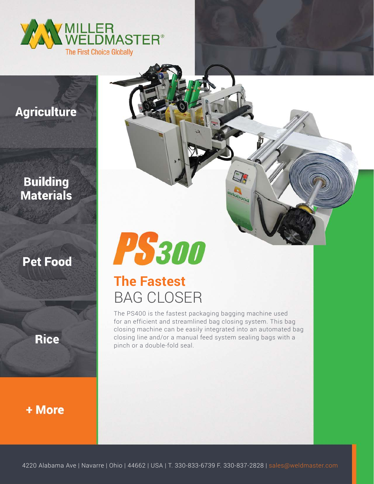

## **Agriculture**

### **Building Materials**

#### **Pet Food**

**Rice** 

+ More



# **The Fastest** BAG CLOSER

The PS400 is the fastest packaging bagging machine used for an efficient and streamlined bag closing system. This bag closing machine can be easily integrated into an automated bag closing line and/or a manual feed system sealing bags with a pinch or a double-fold seal.